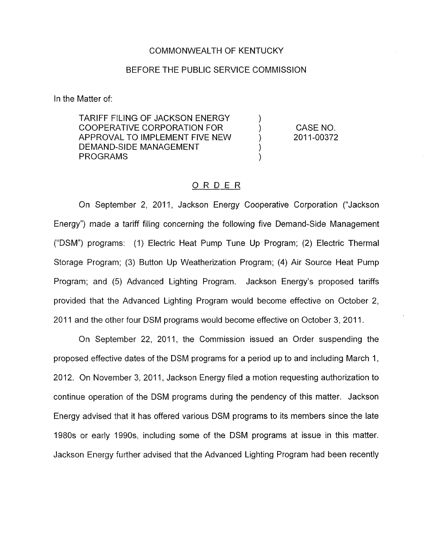## COMMONWEALTH OF KENTUCKY

## BEFORE THE PUBLIC SERVICE COMMISSION

In the Matter of:

TARIFF FILING OF JACKSON ENERGY ) COOPERATIVE CORPORATION FOR  $\rangle$ <br>APPROVAL TO IMPLEMENT FIVE NEW  $\rangle$ APPROVAL TO IMPLEMENT FIVE NEW DEMAND-SIDE MANAGEMENT **PROGRAMS** 

CASE NO. 201 1-00372

## ORDER

On September 2, 2011, Jackson Energy Cooperative Corporation ("Jackson Energy") made a tariff filing concerning the following five Demand-Side Management ("DSM") programs: (1) Electric Heat Pump Tune Up Program; (2) Electric Thermal Storage Program; (3) Button Up Weatherization Program; (4) Air Source Heat Pump Program; and (5) Advanced Lighting Program. Jackson Energy's proposed tariffs provided that the Advanced Lighting Program would become effective on October 2, 2011 and the other four DSM programs would become effective on October 3, 2011.

On September 22, 2011, the Commission issued an Order suspending the proposed effective dates of the DSM programs for a period up to and including March 1, 2012. On November 3, 2011, Jackson Energy filed a motion requesting authorization to continue operation of the DSM programs during the pendency of this matter. Jackson Energy advised that it has offered various DSM programs to its members since the late 1980s or early 199Os, including some of the DSM programs at issue in this matter. Jackson Energy further advised that the Advanced Lighting Program had been recently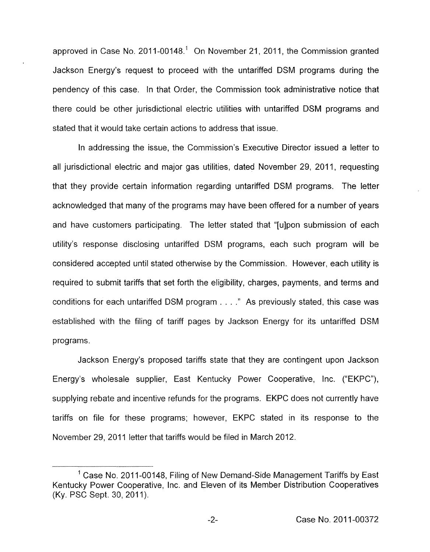approved in Case No. 2011-00148.<sup>1</sup> On November 21, 2011, the Commission granted Jackson Energy's request to proceed with the untariffed DSM programs during the pendency of this case. In that Order, the Commission took administrative notice that there could be other jurisdictional electric utilities with untariffed DSM programs and stated that it would take certain actions to address that issue.

In addressing the issue, the Commission's Executive Director issued a letter to all jurisdictional electric and major gas utilities, dated November 29, 2011, requesting that they provide certain information regarding untariffed DSM programs. The letter acknowledged that many of the programs may have been offered for a number of years and have customers participating. The letter stated that "[ulpon submission of each utility's response disclosing untariffed DSM programs, each such program will be considered accepted until stated otherwise by the Commission. However, each utility is required to submit tariffs that set forth the eligibility, charges, payments, and terms and conditions for each untariffed DSM program . . . . " As previously stated, this case was established with the filing of tariff pages by Jackson Energy for its untariffed DSM programs.

Jackson Energy's proposed tariffs state that they are contingent upon Jackson Energy's wholesale supplier, East Kentucky Power Cooperative, Inc. ("EKPC"), supplying rebate and incentive refunds for the programs. EKPC does not currently have tariffs on file for these programs; however, EKPC stated in its response to the November 29, 2011 letter that tariffs would be filed in March 2012.

 $<sup>1</sup>$  Case No. 2011-00148, Filing of New Demand-Side Management Tariffs by East</sup> Kentucky Power Cooperative, Inc. and Eleven of its Member Distribution Cooperatives (Ky. PSC Sept. 30, 2011).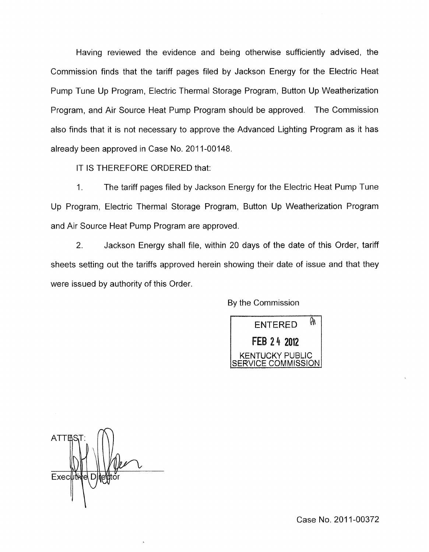Having reviewed the evidence and being otherwise sufficiently advised, the Commission finds that the tariff pages filed by Jackson Energy for the Electric Heat Pump Tune Up Program, Electric Thermal Storage Program, Button Up Weatherization Program, and Air Source Heat Pump Program should be approved. The Commission also finds that it is not necessary to approve the Advanced Lighting Program as it has already been approved in Case No. 2011-00148.

IT IS THEREFORE ORDERED that:

1. The tariff pages filed by Jackson Energy for the Electric Heat Pump Tune Up Program, Electric Thermal Storage Program, Button Up Weatherization Program and Air Source Heat Pump Program are approved.

2. Jackson Energy shall file, within 20 days of the date of this Order, tariff sheets setting out the tariffs approved herein showing their date of issue and that they were issued by authority of this Order.

By the Commission



**ATTES** Executive